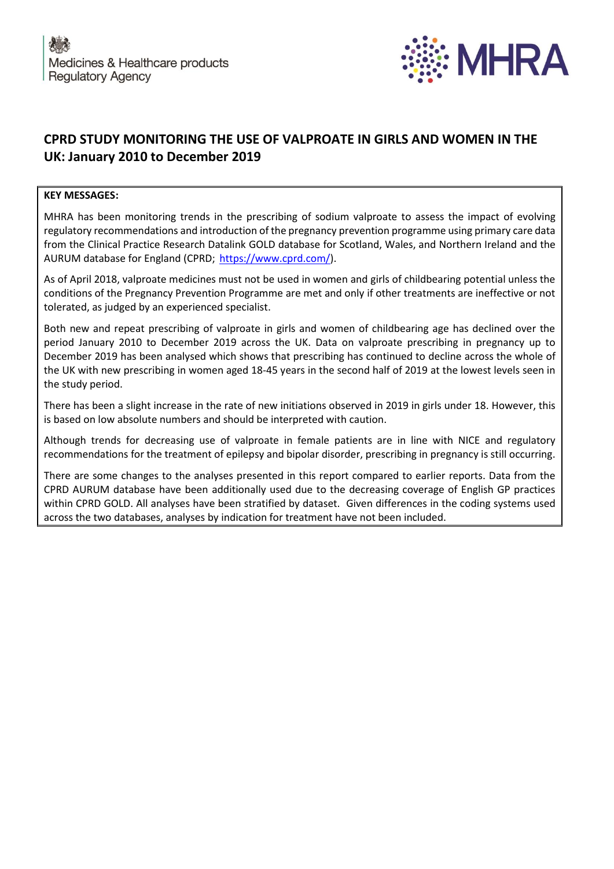

## **CPRD STUDY MONITORING THE USE OF VALPROATE IN GIRLS AND WOMEN IN THE UK: January 2010 to December 2019**

## **KEY MESSAGES:**

MHRA has been monitoring trends in the prescribing of sodium valproate to assess the impact of evolving regulatory recommendations and introduction of the pregnancy prevention programme using primary care data from the Clinical Practice Research Datalink GOLD database for Scotland, Wales, and Northern Ireland and the AURUM database for England (CPRD; [https://www.cprd.com/\)](https://www.cprd.com/).

As of April 2018, valproate medicines must not be used in women and girls of childbearing potential unless the conditions of the Pregnancy Prevention Programme are met and only if other treatments are ineffective or not tolerated, as judged by an experienced specialist.

Both new and repeat prescribing of valproate in girls and women of childbearing age has declined over the period January 2010 to December 2019 across the UK. Data on valproate prescribing in pregnancy up to December 2019 has been analysed which shows that prescribing has continued to decline across the whole of the UK with new prescribing in women aged 18-45 years in the second half of 2019 at the lowest levels seen in the study period.

There has been a slight increase in the rate of new initiations observed in 2019 in girls under 18. However, this is based on low absolute numbers and should be interpreted with caution.

Although trends for decreasing use of valproate in female patients are in line with NICE and regulatory recommendations for the treatment of epilepsy and bipolar disorder, prescribing in pregnancy is still occurring.

There are some changes to the analyses presented in this report compared to earlier reports. Data from the CPRD AURUM database have been additionally used due to the decreasing coverage of English GP practices within CPRD GOLD. All analyses have been stratified by dataset. Given differences in the coding systems used across the two databases, analyses by indication for treatment have not been included.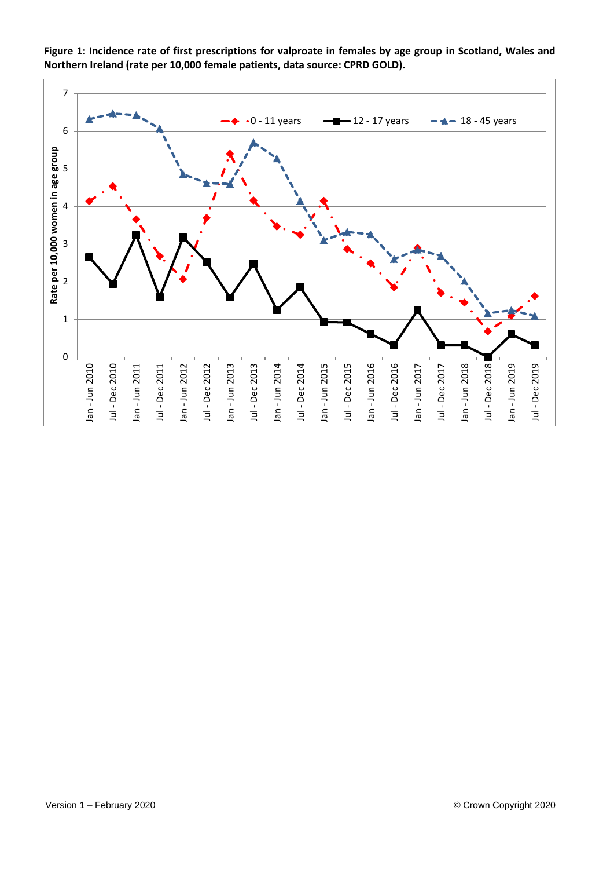

**Figure 1: Incidence rate of first prescriptions for valproate in females by age group in Scotland, Wales and Northern Ireland (rate per 10,000 female patients, data source: CPRD GOLD).**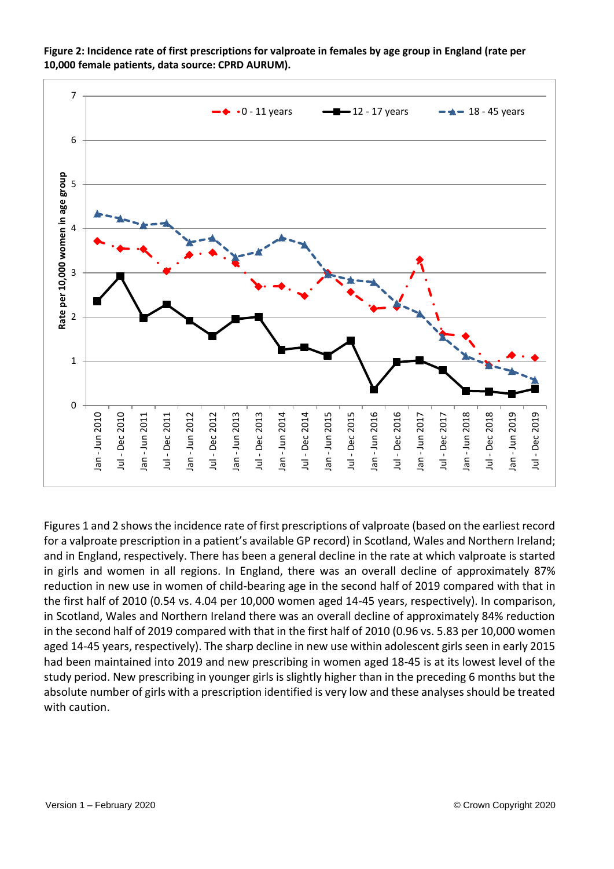

**Figure 2: Incidence rate of first prescriptions for valproate in females by age group in England (rate per 10,000 female patients, data source: CPRD AURUM).**

Figures 1 and 2 shows the incidence rate of first prescriptions of valproate (based on the earliest record for a valproate prescription in a patient's available GP record) in Scotland, Wales and Northern Ireland; and in England, respectively. There has been a general decline in the rate at which valproate is started in girls and women in all regions. In England, there was an overall decline of approximately 87% reduction in new use in women of child-bearing age in the second half of 2019 compared with that in the first half of 2010 (0.54 vs. 4.04 per 10,000 women aged 14-45 years, respectively). In comparison, in Scotland, Wales and Northern Ireland there was an overall decline of approximately 84% reduction in the second half of 2019 compared with that in the first half of 2010 (0.96 vs. 5.83 per 10,000 women aged 14-45 years, respectively). The sharp decline in new use within adolescent girls seen in early 2015 had been maintained into 2019 and new prescribing in women aged 18-45 is at its lowest level of the study period. New prescribing in younger girls is slightly higher than in the preceding 6 months but the absolute number of girls with a prescription identified is very low and these analyses should be treated with caution.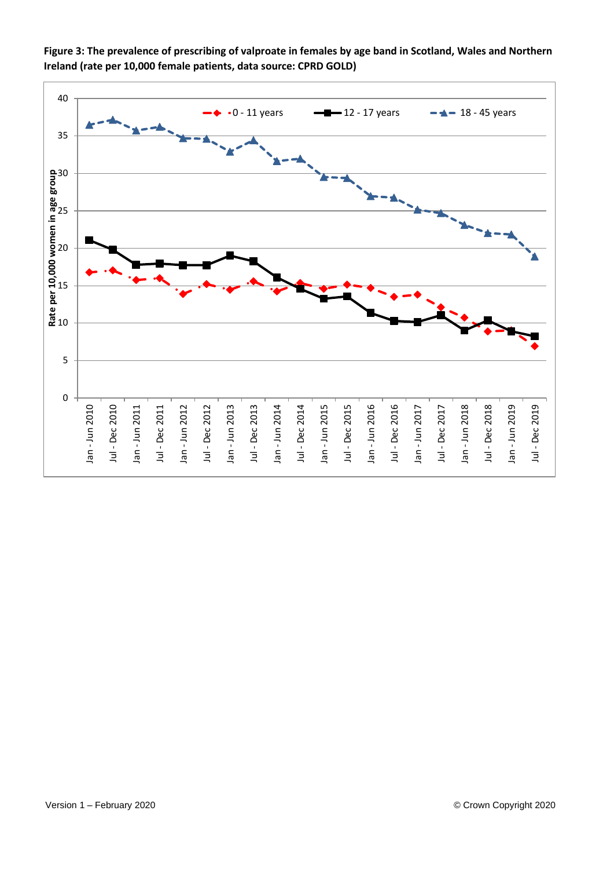

**Figure 3: The prevalence of prescribing of valproate in females by age band in Scotland, Wales and Northern Ireland (rate per 10,000 female patients, data source: CPRD GOLD)**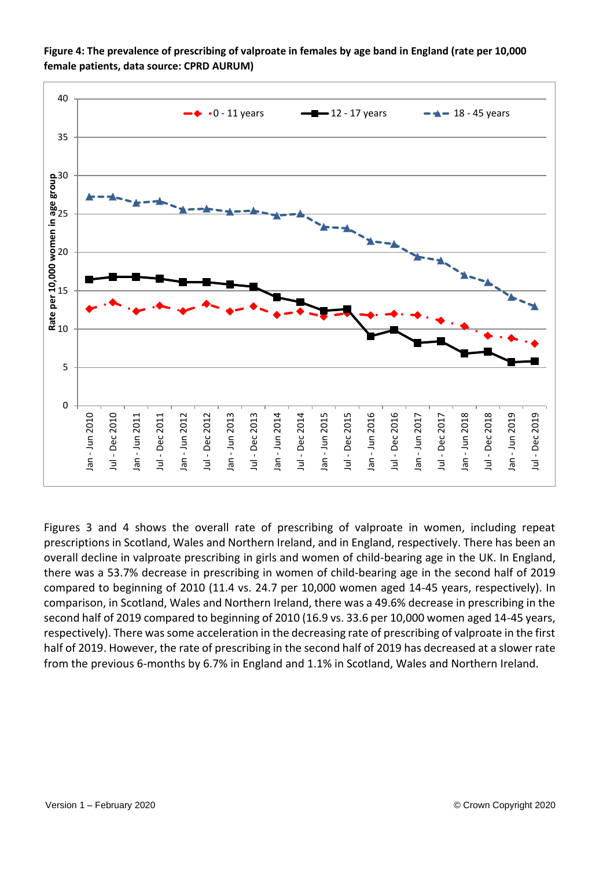

**Figure 4: The prevalence of prescribing of valproate in females by age band in England (rate per 10,000 female patients, data source: CPRD AURUM)**

Figures 3 and 4 shows the overall rate of prescribing of valproate in women, including repeat prescriptions in Scotland, Wales and Northern Ireland, and in England, respectively. There has been an overall decline in valproate prescribing in girls and women of child-bearing age in the UK. In England, there was a 53.7% decrease in prescribing in women of child-bearing age in the second half of 2019 compared to beginning of 2010 (11.4 vs. 24.7 per 10,000 women aged 14-45 years, respectively). In comparison, in Scotland, Wales and Northern Ireland, there was a 49.6% decrease in prescribing in the second half of 2019 compared to beginning of 2010 (16.9 vs. 33.6 per 10,000 women aged 14-45 years, respectively). There was some acceleration in the decreasing rate of prescribing of valproate in the first half of 2019. However, the rate of prescribing in the second half of 2019 has decreased at a slower rate from the previous 6-months by 6.7% in England and 1.1% in Scotland, Wales and Northern Ireland.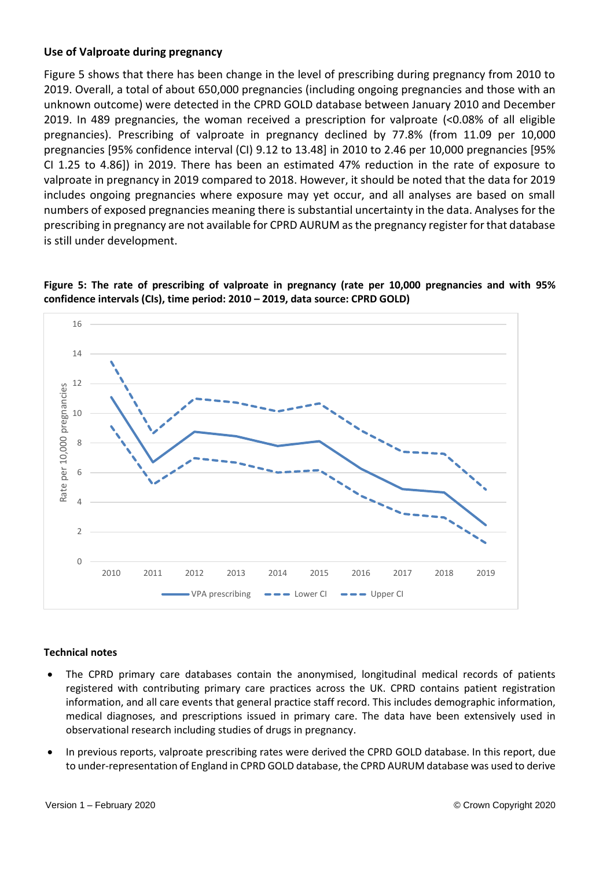## **Use of Valproate during pregnancy**

Figure 5 shows that there has been change in the level of prescribing during pregnancy from 2010 to 2019. Overall, a total of about 650,000 pregnancies (including ongoing pregnancies and those with an unknown outcome) were detected in the CPRD GOLD database between January 2010 and December 2019. In 489 pregnancies, the woman received a prescription for valproate (<0.08% of all eligible pregnancies). Prescribing of valproate in pregnancy declined by 77.8% (from 11.09 per 10,000 pregnancies [95% confidence interval (CI) 9.12 to 13.48] in 2010 to 2.46 per 10,000 pregnancies [95% CI 1.25 to 4.86]) in 2019. There has been an estimated 47% reduction in the rate of exposure to valproate in pregnancy in 2019 compared to 2018. However, it should be noted that the data for 2019 includes ongoing pregnancies where exposure may yet occur, and all analyses are based on small numbers of exposed pregnancies meaning there is substantial uncertainty in the data. Analyses for the prescribing in pregnancy are not available for CPRD AURUM as the pregnancy register for that database is still under development.



**Figure 5: The rate of prescribing of valproate in pregnancy (rate per 10,000 pregnancies and with 95% confidence intervals (CIs), time period: 2010 – 2019, data source: CPRD GOLD)**

## **Technical notes**

- The CPRD primary care databases contain the anonymised, longitudinal medical records of patients registered with contributing primary care practices across the UK. CPRD contains patient registration information, and all care events that general practice staff record. This includes demographic information, medical diagnoses, and prescriptions issued in primary care. The data have been extensively used in observational research including studies of drugs in pregnancy.
- In previous reports, valproate prescribing rates were derived the CPRD GOLD database. In this report, due to under-representation of England in CPRD GOLD database, the CPRD AURUM database was used to derive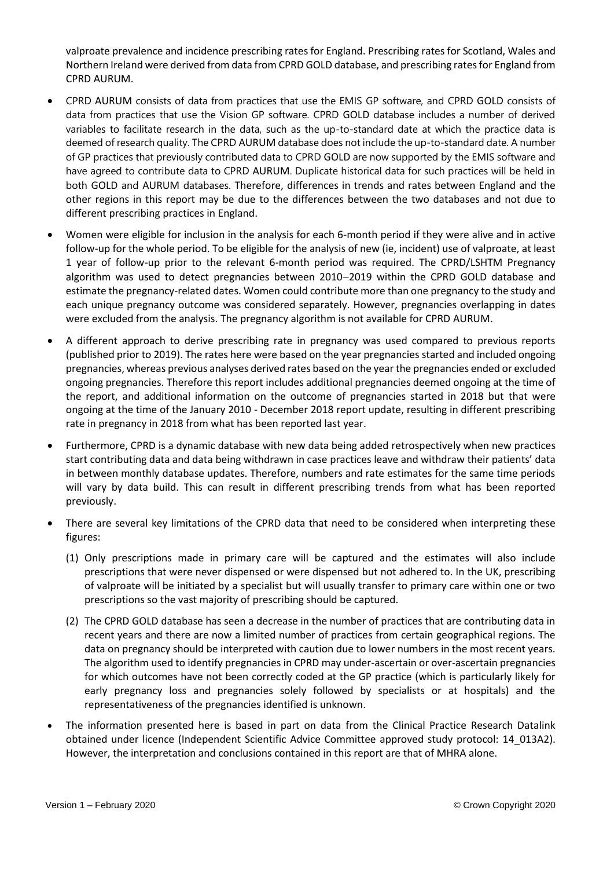valproate prevalence and incidence prescribing rates for England. Prescribing rates for Scotland, Wales and Northern Ireland were derived from data from CPRD GOLD database, and prescribing rates for England from CPRD AURUM.

- CPRD AURUM consists of data from practices that use the EMIS GP software, and CPRD GOLD consists of data from practices that use the Vision GP software. CPRD GOLD database includes a number of derived variables to facilitate research in the data, such as the up-to-standard date at which the practice data is deemed of research quality. The CPRD AURUM database does not include the up-to-standard date. A number of GP practices that previously contributed data to CPRD GOLD are now supported by the EMIS software and have agreed to contribute data to CPRD AURUM. Duplicate historical data for such practices will be held in both GOLD and AURUM databases. Therefore, differences in trends and rates between England and the other regions in this report may be due to the differences between the two databases and not due to different prescribing practices in England.
- Women were eligible for inclusion in the analysis for each 6-month period if they were alive and in active follow-up for the whole period. To be eligible for the analysis of new (ie, incident) use of valproate, at least 1 year of follow-up prior to the relevant 6-month period was required. The CPRD/LSHTM Pregnancy algorithm was used to detect pregnancies between 2010−2019 within the CPRD GOLD database and estimate the pregnancy-related dates. Women could contribute more than one pregnancy to the study and each unique pregnancy outcome was considered separately. However, pregnancies overlapping in dates were excluded from the analysis. The pregnancy algorithm is not available for CPRD AURUM.
- A different approach to derive prescribing rate in pregnancy was used compared to previous reports (published prior to 2019). The rates here were based on the year pregnancies started and included ongoing pregnancies, whereas previous analyses derived rates based on the year the pregnancies ended or excluded ongoing pregnancies. Therefore this report includes additional pregnancies deemed ongoing at the time of the report, and additional information on the outcome of pregnancies started in 2018 but that were ongoing at the time of the January 2010 - December 2018 report update, resulting in different prescribing rate in pregnancy in 2018 from what has been reported last year.
- Furthermore, CPRD is a dynamic database with new data being added retrospectively when new practices start contributing data and data being withdrawn in case practices leave and withdraw their patients' data in between monthly database updates. Therefore, numbers and rate estimates for the same time periods will vary by data build. This can result in different prescribing trends from what has been reported previously.
- There are several key limitations of the CPRD data that need to be considered when interpreting these figures:
	- (1) Only prescriptions made in primary care will be captured and the estimates will also include prescriptions that were never dispensed or were dispensed but not adhered to. In the UK, prescribing of valproate will be initiated by a specialist but will usually transfer to primary care within one or two prescriptions so the vast majority of prescribing should be captured.
	- (2) The CPRD GOLD database has seen a decrease in the number of practices that are contributing data in recent years and there are now a limited number of practices from certain geographical regions. The data on pregnancy should be interpreted with caution due to lower numbers in the most recent years. The algorithm used to identify pregnancies in CPRD may under-ascertain or over-ascertain pregnancies for which outcomes have not been correctly coded at the GP practice (which is particularly likely for early pregnancy loss and pregnancies solely followed by specialists or at hospitals) and the representativeness of the pregnancies identified is unknown.
- The information presented here is based in part on data from the Clinical Practice Research Datalink obtained under licence (Independent Scientific Advice Committee approved study protocol: 14\_013A2). However, the interpretation and conclusions contained in this report are that of MHRA alone.